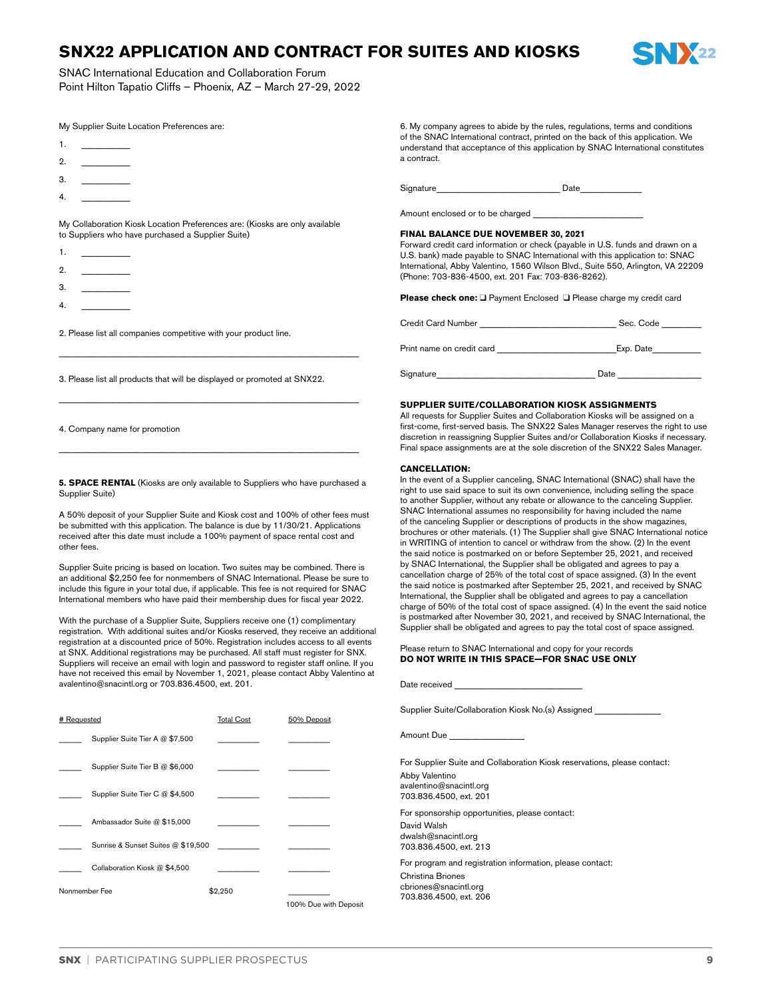# **SNX22 APPLICATION AND CONTRACT FOR SUITES AND KIOSKS**



SNAC International Education and Collaboration Forum Point Hilton Tapatio Cliffs – Phoenix, AZ – March 27-29, 2022

| My Supplier Suite Location Preferences are: |  |
|---------------------------------------------|--|
|---------------------------------------------|--|

- 1. <u>\_\_\_</u>\_\_\_\_\_
- 2. \_\_\_\_\_\_\_\_\_\_\_
- 3. \_\_\_\_\_\_\_\_\_\_\_
- 4. \_\_\_\_\_\_\_\_\_\_\_

My Collaboration Kiosk Location Preferences are: (Kiosks are only available to Suppliers who have purchased a Supplier Suite)

- 1. \_\_\_\_\_\_\_\_\_\_\_
- 2. \_\_\_\_\_\_\_\_\_\_\_
- 3. \_\_\_\_\_\_\_\_\_\_\_
- 4. \_\_\_\_\_\_\_\_\_\_\_
- 2. Please list all companies competitive with your product line.

3. Please list all products that will be displayed or promoted at SNX22.

 $\_$  , and the set of the set of the set of the set of the set of the set of the set of the set of the set of the set of the set of the set of the set of the set of the set of the set of the set of the set of the set of th

 $\_$  , and the set of the set of the set of the set of the set of the set of the set of the set of the set of the set of the set of the set of the set of the set of the set of the set of the set of the set of the set of th

 $\_$  , and the set of the set of the set of the set of the set of the set of the set of the set of the set of the set of the set of the set of the set of the set of the set of the set of the set of the set of the set of th

4. Company name for promotion

**5. SPACE RENTAL** (Kiosks are only available to Suppliers who have purchased a Supplier Suite)

A 50% deposit of your Supplier Suite and Kiosk cost and 100% of other fees must be submitted with this application. The balance is due by 11/30/21. Applications received after this date must include a 100% payment of space rental cost and other fees.

Supplier Suite pricing is based on location. Two suites may be combined. There is an additional \$2,250 fee for nonmembers of SNAC International. Please be sure to include this figure in your total due, if applicable. This fee is not required for SNAC International members who have paid their membership dues for fiscal year 2022.

With the purchase of a Supplier Suite, Suppliers receive one (1) complimentary registration. With additional suites and/or Kiosks reserved, they receive an additional registration at a discounted price of 50%. Registration includes access to all events at SNX. Additional registrations may be purchased. All staff must register for SNX. Suppliers will receive an email with login and password to register staff online. If you have not received this email by November 1, 2021, please contact Abby Valentino at avalentino@snacintl.org or 703.836.4500, ext. 201.

| # Requested   |                                    | <b>Total Cost</b> | 50% Deposit           |
|---------------|------------------------------------|-------------------|-----------------------|
|               | Supplier Suite Tier A @ \$7,500    |                   |                       |
|               | Supplier Suite Tier B @ \$6,000    |                   |                       |
|               | Supplier Suite Tier C @ \$4,500    |                   |                       |
|               | Ambassador Suite @ \$15,000        |                   |                       |
|               | Sunrise & Sunset Suites @ \$19,500 |                   |                       |
|               | Collaboration Kiosk @ \$4,500      |                   |                       |
| Nonmember Fee |                                    | \$2,250           |                       |
|               |                                    |                   | 100% Due with Deposit |

6. My company agrees to abide by the rules, regulations, terms and conditions of the SNAC International contract, printed on the back of this application. We understand that acceptance of this application by SNAC International constitutes a contract.

Signature **Container Date** 

Amount enclosed or to be charged

# **FINAL BALANCE DUE NOVEMBER 30, 2021**

Forward credit card information or check (payable in U.S. funds and drawn on a U.S. bank) made payable to SNAC International with this application to: SNAC International, Abby Valentino, 1560 Wilson Blvd., Suite 550, Arlington, VA 22209 (Phone: 703-836-4500, ext. 201 Fax: 703-836-8262).

**Please check one:** ❑ Payment Enclosed ❑ Please charge my credit card

| <b>Credit Card Number</b> | Sec. Code |
|---------------------------|-----------|
| Print name on credit card | Exp. Date |
| Signature                 | Date      |

# **SUPPLIER SUITE/COLLABORATION KIOSK ASSIGNMENTS**

All requests for Supplier Suites and Collaboration Kiosks will be assigned on a first-come, first-served basis. The SNX22 Sales Manager reserves the right to use discretion in reassigning Supplier Suites and/or Collaboration Kiosks if necessary. Final space assignments are at the sole discretion of the SNX22 Sales Manager.

# **CANCELLATION:**

In the event of a Supplier canceling, SNAC International (SNAC) shall have the right to use said space to suit its own convenience, including selling the space to another Supplier, without any rebate or allowance to the canceling Supplier. SNAC International assumes no responsibility for having included the name of the canceling Supplier or descriptions of products in the show magazines, brochures or other materials. (1) The Supplier shall give SNAC International notice in WRITING of intention to cancel or withdraw from the show. (2) In the event the said notice is postmarked on or before September 25, 2021, and received by SNAC International, the Supplier shall be obligated and agrees to pay a cancellation charge of 25% of the total cost of space assigned. (3) In the event the said notice is postmarked after September 25, 2021, and received by SNAC International, the Supplier shall be obligated and agrees to pay a cancellation charge of 50% of the total cost of space assigned. (4) In the event the said notice is postmarked after November 30, 2021, and received by SNAC International, the Supplier shall be obligated and agrees to pay the total cost of space assigned.

| Please return to SNAC International and copy for your records |  |
|---------------------------------------------------------------|--|
| DO NOT WRITE IN THIS SPACE—FOR SNAC USE ONLY                  |  |

| Date received <b>Example 20</b>                                                                                                                 |  |
|-------------------------------------------------------------------------------------------------------------------------------------------------|--|
| Supplier Suite/Collaboration Kiosk No.(s) Assigned                                                                                              |  |
| Amount Due                                                                                                                                      |  |
| For Supplier Suite and Collaboration Kiosk reservations, please contact:<br>Abby Valentino<br>avalentino@snacintl.org<br>703.836.4500, ext. 201 |  |
| For sponsorship opportunities, please contact:<br>David Walsh<br>dwalsh@snacintl.org<br>703.836.4500, ext. 213                                  |  |
| For program and registration information, please contact:<br>Christina Briones<br>cbriones@snacintl.org<br>703.836.4500, ext. 206               |  |